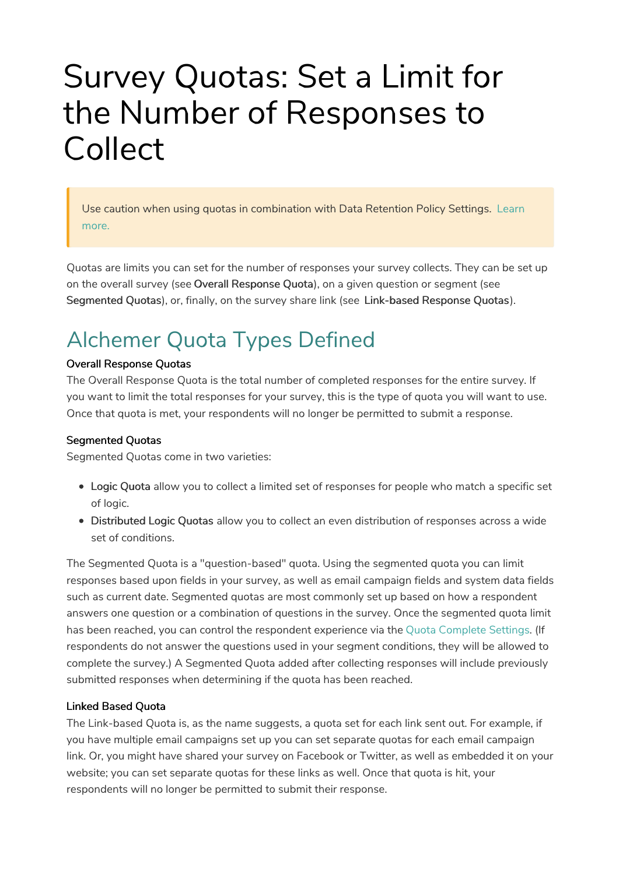# Survey Quotas: Set a Limit for the Number of Responses to Collect

Use caution when using quotas in combination with Data Retention Policy Settings. Learn more.

Quotas are limits you can set for the number of responses your survey collects. They can be set up on the overall survey (see Overall Response Quota), on a given question or segment (see Segmented Quotas), or, finally, on the survey share link (see Link-based Response Quotas).

## Alchemer Quota Types Defined

#### Overall Response Quotas

The Overall Response Quota is the total number of completed responses for the entire survey. If you want to limit the total responses for your survey, this is the type of quota you will want to use. Once that quota is met, your respondents will no longer be permitted to submit a response.

### Segmented Quotas

Segmented Quotas come in two varieties:

- Logic Quota allow you to collect a limited set of responses for people who match a specific set of logic.
- Distributed Logic Quotas allow you to collect an even distribution of responses across a wide set of conditions.

The Segmented Quota is a "question-based" quota. Using the segmented quota you can limit responses based upon fields in your survey, as well as email campaign fields and system data fields such as current date. Segmented quotas are most commonly set up based on how a respondent answers one question or a combination of questions in the survey. Once the segmented quota limit has been reached, you can control the respondent experience via the Quota Complete Settings. (If respondents do not answer the questions used in your segment conditions, they will be allowed to complete the survey.) A Segmented Quota added after collecting responses will include previously submitted responses when determining if the quota has been reached.

#### Linked Based Quota

The Link-based Quota is, as the name suggests, a quota set for each link sent out. For example, if you have multiple email campaigns set up you can set separate quotas for each email campaign link. Or, you might have shared your survey on Facebook or Twitter, as well as embedded it on your website; you can set separate quotas for these links as well. Once that quota is hit, your respondents will no longer be permitted to submit their response.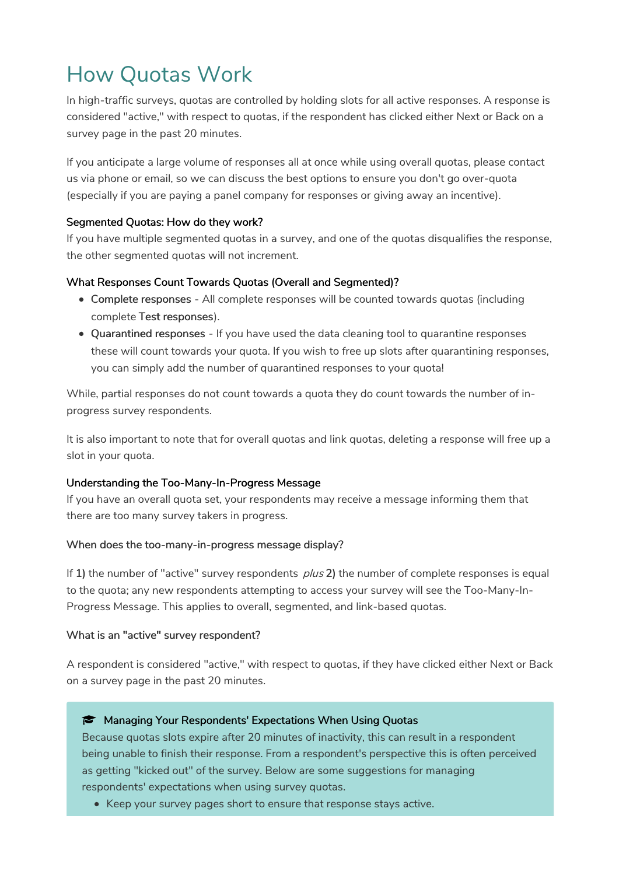# How Quotas Work

In high-traffic surveys, quotas are controlled by holding slots for all active responses. A response is considered "active," with respect to quotas, if the respondent has clicked either Next or Back on a survey page in the past 20 minutes.

If you anticipate a large volume of responses all at once while using overall quotas, please contact us via phone or email, so we can discuss the best options to ensure you don't go over-quota (especially if you are paying a panel company for responses or giving away an incentive).

### Segmented Quotas: How do they work?

If you have multiple segmented quotas in a survey, and one of the quotas disqualifies the response, the other segmented quotas will not increment.

### What Responses Count Towards Quotas (Overall and Segmented)?

- Complete responses All complete responses will be counted towards quotas (including complete Test responses).
- Quarantined responses If you have used the data cleaning tool to quarantine responses these will count towards your quota. If you wish to free up slots after quarantining responses, you can simply add the number of quarantined responses to your quota!

While, partial responses do not count towards a quota they do count towards the number of inprogress survey respondents.

It is also important to note that for overall quotas and link quotas, deleting a response will free up a slot in your quota.

### Understanding the Too-Many-In-Progress Message

If you have an overall quota set, your respondents may receive a message informing them that there are too many survey takers in progress.

### When does the too-many-in-progress message display?

If 1) the number of "active" survey respondents  $plus 2$ ) the number of complete responses is equal to the quota; any new respondents attempting to access your survey will see the Too-Many-In-Progress Message. This applies to overall, segmented, and link-based quotas.

#### What is an "active" survey respondent?

A respondent is considered "active," with respect to quotas, if they have clicked either Next or Back on a survey page in the past 20 minutes.

#### **Managing Your Respondents' Expectations When Using Quotas**

Because quotas slots expire after 20 minutes of inactivity, this can result in a respondent being unable to finish their response. From a respondent's perspective this is often perceived as getting "kicked out" of the survey. Below are some suggestions for managing respondents' expectations when using survey quotas.

• Keep your survey pages short to ensure that response stays active.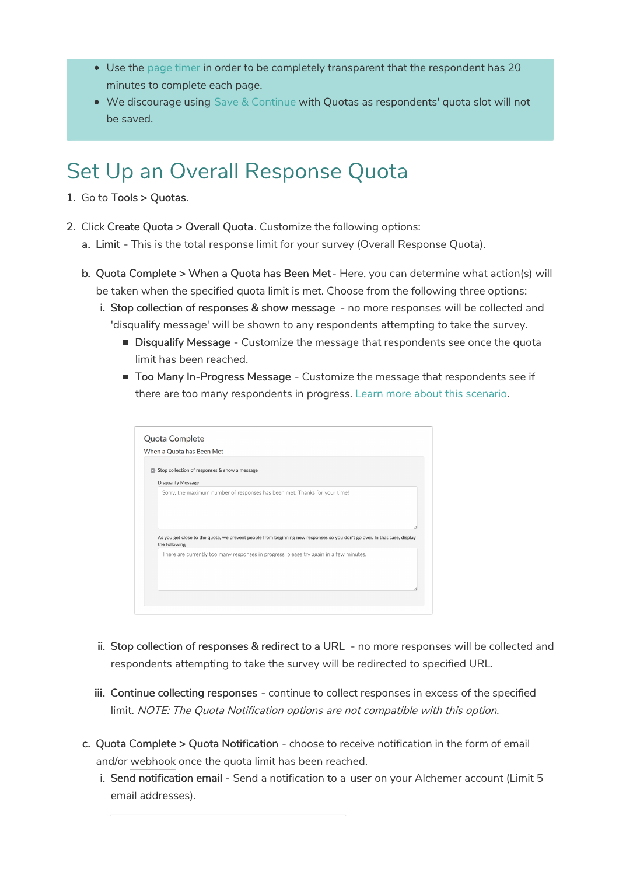- Use the page timer in order to be completely transparent that the respondent has 20 minutes to complete each page.
- We discourage using Save & Continue with Quotas as respondents' quota slot will not be saved.

### Set Up an Overall Response Quota

- 1. Go to Tools > Quotas.
- 2. Click Create Quota > Overall Quota. Customize the following options:
	- a. Limit This is the total response limit for your survey (Overall Response Quota).
	- b. Quota Complete > When a Quota has Been Met Here, you can determine what action(s) will be taken when the specified quota limit is met. Choose from the following three options:
		- i. Stop collection of responses & show message no more responses will be collected and 'disqualify message' will be shown to any respondents attempting to take the survey.
			- **Disqualify Message** Customize the message that respondents see once the quota limit has been reached.
			- **Too Many In-Progress Message Customize the message that respondents see if** there are too many respondents in progress. Learn more about this scenario.

| When a Quota has Been Met                                                                                                 |  |  |
|---------------------------------------------------------------------------------------------------------------------------|--|--|
| Stop collection of responses & show a message                                                                             |  |  |
| <b>Disqualify Message</b>                                                                                                 |  |  |
| Sorry, the maximum number of responses has been met. Thanks for your time!                                                |  |  |
|                                                                                                                           |  |  |
|                                                                                                                           |  |  |
|                                                                                                                           |  |  |
| As you get close to the quota, we prevent people from beginning new responses so you don't go over. In that case, display |  |  |
| the following                                                                                                             |  |  |
| There are currently too many responses in progress, please try again in a few minutes.                                    |  |  |
|                                                                                                                           |  |  |
|                                                                                                                           |  |  |
|                                                                                                                           |  |  |

- ii. Stop collection of responses & redirect to a URL no more responses will be collected and respondents attempting to take the survey will be redirected to specified URL.
- iii. Continue collecting responses continue to collect responses in excess of the specified limit. NOTE: The Quota Notification options are not compatible with this option.
- c. Quota Complete > Quota Notification choose to receive notification in the form of email and/or webhook once the quota limit has been reached.
	- i. Send notification email Send a notification to a user on your Alchemer account (Limit 5 email addresses).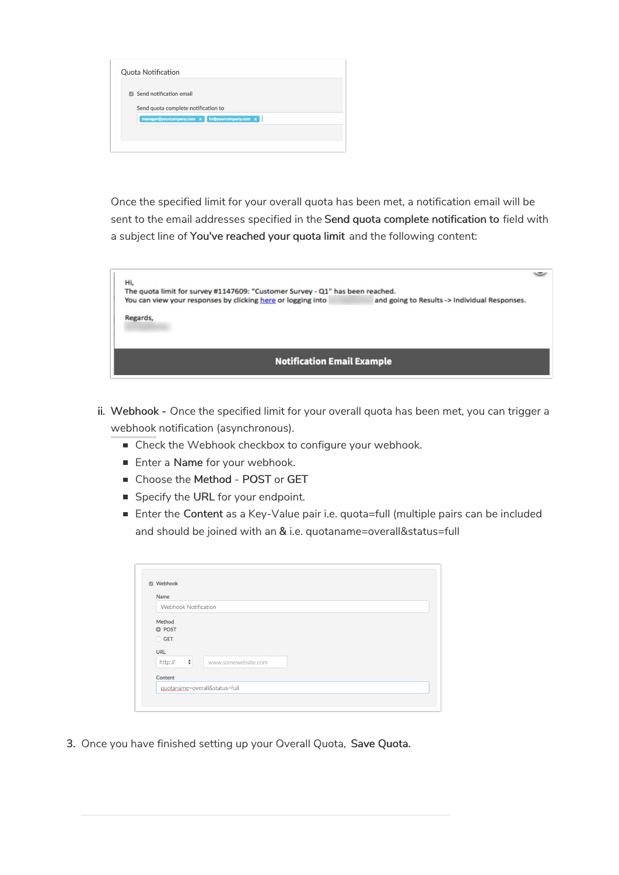|              | <b>Quota Notification</b>                         |
|--------------|---------------------------------------------------|
| $\mathbb{Z}$ | Send notification email                           |
|              | Send quota complete notification to               |
|              | hr@yourcompany.com x<br>manager@yourcompany.com x |
|              |                                                   |

Once the specified limit for your overall quota has been met, a notification email will be sent to the email addresses specified in the Send quota complete notification to field with a subject line of You've reached your quota limit and the following content:

| Hi,<br>The quota limit for survey #1147609: "Customer Survey - Q1" has been reached. |                                               |  |
|--------------------------------------------------------------------------------------|-----------------------------------------------|--|
| You can view your responses by clicking here or logging into                         | and going to Results -> Individual Responses. |  |
| Regards,                                                                             |                                               |  |
| <b>Notification Email Example</b>                                                    |                                               |  |

- ii. Webhook Once the specified limit for your overall quota has been met, you can trigger a webhook notification (asynchronous).
	- Check the Webhook checkbox to configure your webhook.
	- Enter a Name for your webhook.
	- Choose the Method POST or GET
	- Specify the URL for your endpoint.
	- Enter the Content as a Key-Value pair i.e. quota=full (multiple pairs can be included and should be joined with an & i.e. quotaname=overall&status=full

| Name                 |                     |
|----------------------|---------------------|
| Webhook Notification |                     |
| Method               |                     |
| <b>O</b> POST        |                     |
| ○ GET                |                     |
| <b>URL</b>           |                     |
| ÷<br>http://         | www.somewebsite.com |
| Content              |                     |

3. Once you have finished setting up your Overall Quota, Save Quota.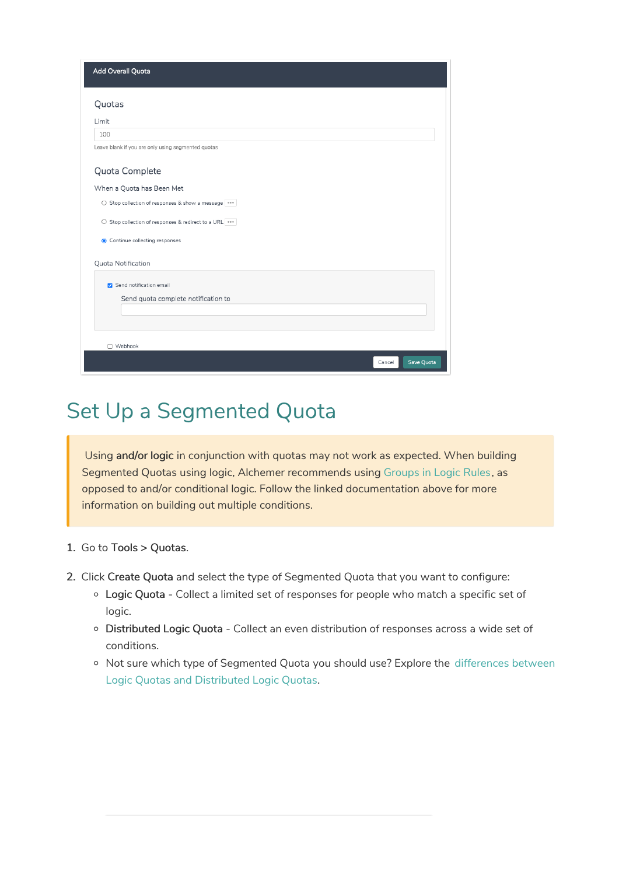| Add Overall Quota                                  |
|----------------------------------------------------|
| Quotas                                             |
| Limit                                              |
| 100                                                |
| Leave blank if you are only using segmented quotas |
| Quota Complete                                     |
| When a Quota has Been Met                          |
| ○ Stop collection of responses & show a message    |
| ○ Stop collection of responses & redirect to a URL |
| ● Continue collecting responses                    |
| Quota Notification                                 |
| Send notification email                            |
| Send quota complete notification to                |
|                                                    |
|                                                    |
| □ Webhook                                          |
| Save Quota<br>Cancel                               |

### Set Up a Segmented Quota

Using and/or logic in conjunction with quotas may not work as expected. When building Segmented Quotas using logic, Alchemer recommends using Groups in Logic Rules, as opposed to and/or conditional logic. Follow the linked documentation above for more information on building out multiple conditions.

- 1. Go to Tools > Quotas.
- 2. Click Create Quota and select the type of Segmented Quota that you want to configure:
	- Logic Quota Collect a limited set of responses for people who match a specific set of logic.
	- o Distributed Logic Quota Collect an even distribution of responses across a wide set of conditions.
	- o Not sure which type of Segmented Quota you should use? Explore the differences between Logic Quotas and Distributed Logic Quotas.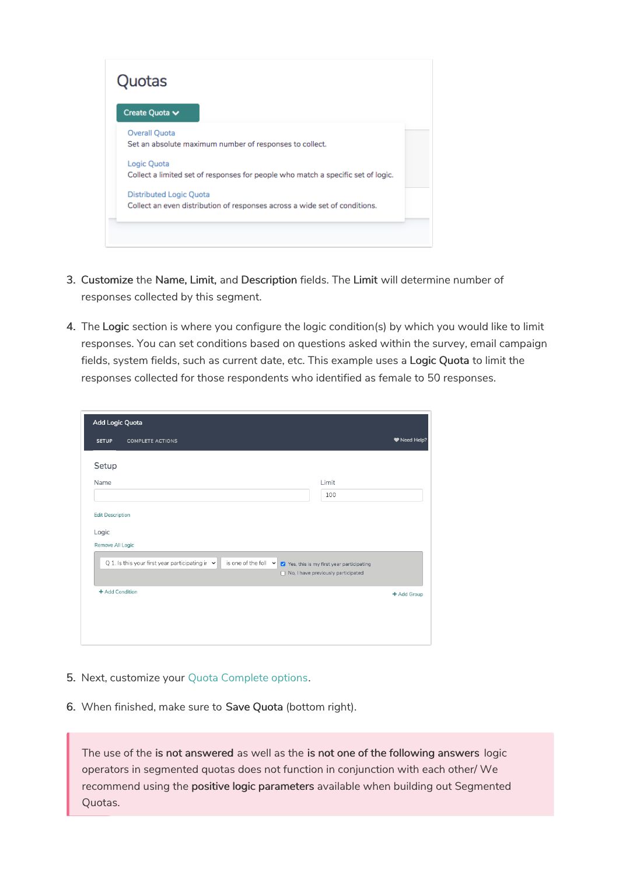

- 3. Customize the Name, Limit, and Description fields. The Limit will determine number of responses collected by this segment.
- 4. The Logic section is where you configure the logic condition(s) by which you would like to limit responses. You can set conditions based on questions asked within the survey, email campaign fields, system fields, such as current date, etc. This example uses a Logic Quota to limit the responses collected for those respondents who identified as female to 50 responses.

| Add Logic Quota                                                                                           |                                                                                       |
|-----------------------------------------------------------------------------------------------------------|---------------------------------------------------------------------------------------|
| <b>SETUP</b><br><b>COMPLETE ACTIONS</b>                                                                   | ♥ Need Help?                                                                          |
| Setup                                                                                                     |                                                                                       |
| Name                                                                                                      | Limit                                                                                 |
|                                                                                                           | 100                                                                                   |
| <b>Edit Description</b><br>Logic<br>Remove All Logic                                                      |                                                                                       |
| Q 1. Is this your first year participating in $\vert \mathbf{v} \vert$<br>is one of the foll $\mathbf{v}$ | Yes, this is my first year participating<br>$\Box$ No, I have previously participated |
| + Add Condition                                                                                           | + Add Group                                                                           |
|                                                                                                           |                                                                                       |
|                                                                                                           |                                                                                       |
|                                                                                                           |                                                                                       |

- 5. Next, customize your Quota Complete options.
- 6. When finished, make sure to Save Quota (bottom right).

The use of the is not answered as well as the is not one of the following answers logic operators in segmented quotas does not function in conjunction with each other/ We recommend using the positive logic parameters available when building out Segmented Quotas.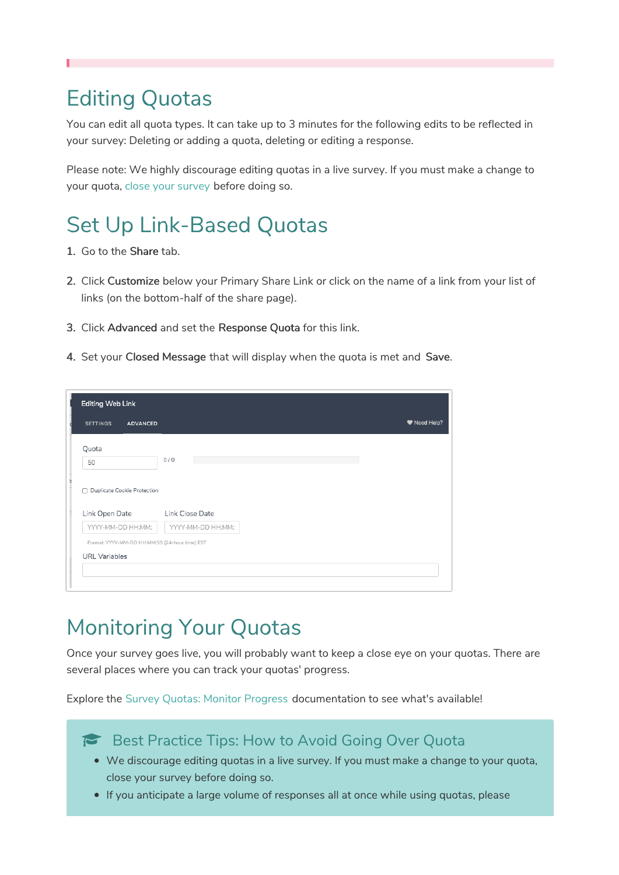### Editing Quotas

You can edit all quota types. It can take up to 3 minutes for the following edits to be reflected in your survey: Deleting or adding a quota, deleting or editing a response.

Please note: We highly discourage editing quotas in a live survey. If you must make a change to your quota, close your survey before doing so.

## Set Up Link-Based Quotas

- 1. Go to the Share tab.
- 2. Click Customize below your Primary Share Link or click on the name of a link from your list of links (on the bottom-half of the share page).
- 3. Click Advanced and set the Response Quota for this link.
- 4. Set your Closed Message that will display when the quota is met and Save.

| <b>SETTINGS</b><br><b>ADVANCED</b><br>Quota<br>0/0<br>50<br>Duplicate Cookie Protection<br>П<br>Link Open Date<br>Link Close Date<br>YYYY-MM-DD HH:MM:<br>YYYY-MM-DD HH:MM:<br>Format: YYYY-MM-DD HH:MM:SS (24-hour time) EST | <b>Editing Web Link</b> |  |            |
|-------------------------------------------------------------------------------------------------------------------------------------------------------------------------------------------------------------------------------|-------------------------|--|------------|
|                                                                                                                                                                                                                               |                         |  | Need Help? |
|                                                                                                                                                                                                                               |                         |  |            |
|                                                                                                                                                                                                                               |                         |  |            |
|                                                                                                                                                                                                                               |                         |  |            |
|                                                                                                                                                                                                                               |                         |  |            |
| <b>URL</b> Variables                                                                                                                                                                                                          |                         |  |            |
|                                                                                                                                                                                                                               |                         |  |            |

### Monitoring Your Quotas

Once your survey goes live, you will probably want to keep a close eye on your quotas. There are several places where you can track your quotas' progress.

Explore the Survey Quotas: Monitor Progress documentation to see what's available!

### Best Practice Tips: How to Avoid Going Over Quota

- We discourage editing quotas in a live survey. If you must make a change to your quota, close your survey before doing so.
- If you anticipate a large volume of responses all at once while using quotas, please